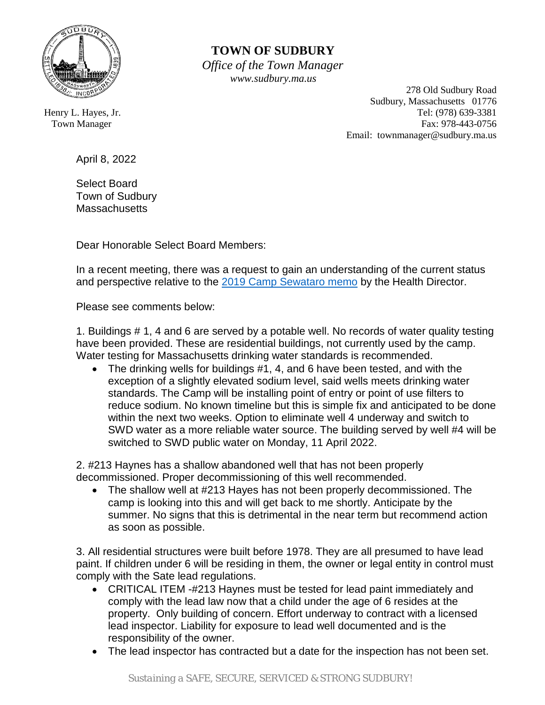

## **TOWN OF SUDBURY**

 *Office of the Town Manager www.sudbury.ma.us*

 278 Old Sudbury Road Sudbury, Massachusetts 01776 Henry L. Hayes, Jr. **Tel:** (978) 639-3381 Town Manager Fax: 978-443-0756 Email: townmanager@sudbury.ma.us

April 8, 2022

Select Board Town of Sudbury **Massachusetts** 

Dear Honorable Select Board Members:

In a recent meeting, there was a request to gain an understanding of the current status and perspective relative to the [2019 Camp Sewataro memo](https://sudbury.ma.us/townmanager/wp-content/uploads/sites/357/2021/12/Health-Department-Sewataro-Inspection-09.13.2019.pdf?version=d4efb08af2b67b2deeacfa3f8a57655f) by the Health Director.

Please see comments below:

1. Buildings # 1, 4 and 6 are served by a potable well. No records of water quality testing have been provided. These are residential buildings, not currently used by the camp. Water testing for Massachusetts drinking water standards is recommended.

• The drinking wells for buildings #1, 4, and 6 have been tested, and with the exception of a slightly elevated sodium level, said wells meets drinking water standards. The Camp will be installing point of entry or point of use filters to reduce sodium. No known timeline but this is simple fix and anticipated to be done within the next two weeks. Option to eliminate well 4 underway and switch to SWD water as a more reliable water source. The building served by well #4 will be switched to SWD public water on Monday, 11 April 2022.

2. #213 Haynes has a shallow abandoned well that has not been properly decommissioned. Proper decommissioning of this well recommended.

• The shallow well at #213 Hayes has not been properly decommissioned. The camp is looking into this and will get back to me shortly. Anticipate by the summer. No signs that this is detrimental in the near term but recommend action as soon as possible.

3. All residential structures were built before 1978. They are all presumed to have lead paint. If children under 6 will be residing in them, the owner or legal entity in control must comply with the Sate lead regulations.

- CRITICAL ITEM -#213 Haynes must be tested for lead paint immediately and comply with the lead law now that a child under the age of 6 resides at the property. Only building of concern. Effort underway to contract with a licensed lead inspector. Liability for exposure to lead well documented and is the responsibility of the owner.
- The lead inspector has contracted but a date for the inspection has not been set.